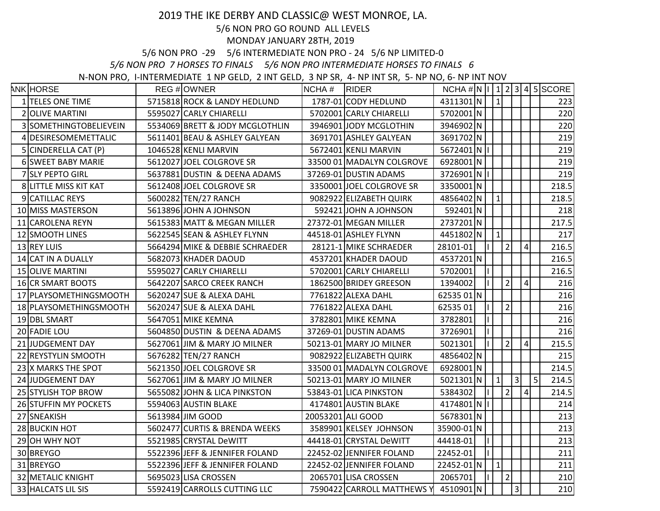## 2019 THE IKE DERBY AND CLASSIC@ WEST MONROE, LA.

## 5/6 NON PRO GO ROUND ALL LEVELS

## MONDAY JANUARY 28TH, 2019

5/6 NON PRO -29 5/6 INTERMEDIATE NON PRO - 24 5/6 NP LIMITED-0

*5/6 NON PRO 7 HORSES TO FINALS 5/6 NON PRO INTERMEDIATE HORSES TO FINALS 6*

N-NON PRO, I-INTERMEDIATE 1 NP GELD, 2 INT GELD, 3 NP SR, 4- NP INT SR, 5- NP NO, 6- NP INT NOV

| <b>ANK HORSE</b>             | REG #OWNER                      | NCHA# | <b>RIDER</b>                         | $NCHA \# N  I  1   2   3   4   5   SCORE$ |               |                |                |                 |   |       |
|------------------------------|---------------------------------|-------|--------------------------------------|-------------------------------------------|---------------|----------------|----------------|-----------------|---|-------|
| 1 TELES ONE TIME             | 5715818 ROCK & LANDY HEDLUND    |       | 1787-01 CODY HEDLUND                 | 4311301 N                                 | $\mathbf{1}$  |                |                |                 |   | 223   |
| 2 OLIVE MARTINI              | 5595027 CARLY CHIARELLI         |       | 5702001 CARLY CHIARELLI              | 5702001N                                  |               |                |                |                 |   | 220   |
| 3 SOMETHINGTOBELIEVEIN       | 5534069 BRETT & JODY MCGLOTHLIN |       | 3946901 JODY MCGLOTHIN               | 3946902N                                  |               |                |                |                 |   | 220   |
| 4 DESIRESOMEMETTALIC         | 5611401 BEAU & ASHLEY GALYEAN   |       | 3691701 ASHLEY GALYEAN               | 3691702N                                  |               |                |                |                 |   | 219   |
| 5 CINDERELLA CAT (P)         | 1046528 KENLI MARVIN            |       | 5672401 KENLI MARVIN                 | 5672401 N I                               |               |                |                |                 |   | 219   |
| <b>6 SWEET BABY MARIE</b>    | 5612027 JOEL COLGROVE SR        |       | 33500 01 MADALYN COLGROVE            | 6928001N                                  |               |                |                |                 |   | 219   |
| 7 SLY PEPTO GIRL             | 5637881 DUSTIN & DEENA ADAMS    |       | 37269-01 DUSTIN ADAMS                | 3726901 N   I                             |               |                |                |                 |   | 219   |
| 8 LITTLE MISS KIT KAT        | 5612408 JOEL COLGROVE SR        |       | 3350001 JOEL COLGROVE SR             | 3350001N                                  |               |                |                |                 |   | 218.5 |
| 9 CATILLAC REYS              | 5600282 TEN/27 RANCH            |       | 9082922 ELIZABETH QUIRK              | 4856402 N                                 | $\mathbf{1}$  |                |                |                 |   | 218.5 |
| 10 MISS MASTERSON            | 5613896 JOHN A JOHNSON          |       | 592421 JOHN A JOHNSON                | 592401 N                                  |               |                |                |                 |   | 218   |
| 11 CAROLENA REYN             | 5615383 MATT & MEGAN MILLER     |       | 27372-01 MEGAN MILLER                | 2737201N                                  |               |                |                |                 |   | 217.5 |
| 12 SMOOTH LINES              | 5622545 SEAN & ASHLEY FLYNN     |       | 44518-01 ASHLEY FLYNN                | 4451802N                                  | $\mathbf{1}$  |                |                |                 |   | 217   |
| 13 REY LUIS                  | 5664294 MIKE & DEBBIE SCHRAEDER |       | 28121-1 MIKE SCHRAEDER               | 28101-01                                  |               | $\overline{2}$ |                | $\vert 4 \vert$ |   | 216.5 |
| 14 CAT IN A DUALLY           | 5682073 KHADER DAOUD            |       | 4537201 KHADER DAOUD                 | 4537201N                                  |               |                |                |                 |   | 216.5 |
| <b>15 OLIVE MARTINI</b>      | 5595027 CARLY CHIARELLI         |       | 5702001 CARLY CHIARELLI              | 5702001                                   |               |                |                |                 |   | 216.5 |
| 16 CR SMART BOOTS            | 5642207 SARCO CREEK RANCH       |       | 1862500 BRIDEY GREESON               | 1394002                                   |               | $\overline{2}$ |                | $\vert 4 \vert$ |   | 216   |
| 17 PLAYSOMETHINGSMOOTH       | 5620247 SUE & ALEXA DAHL        |       | 7761822 ALEXA DAHL                   | 62535 01 N                                |               |                |                |                 |   | 216   |
| 18 PLAYSOMETHINGSMOOTH       | 5620247 SUE & ALEXA DAHL        |       | 7761822 ALEXA DAHL                   | 6253501                                   |               | $\vert$ 2      |                |                 |   | 216   |
| 19 DBL SMART                 | 5647051 MIKE KEMNA              |       | 3782801 MIKE KEMNA                   | 3782801                                   | IL.           |                |                |                 |   | 216   |
| 20 FADIE LOU                 | 5604850 DUSTIN & DEENA ADAMS    |       | 37269-01 DUSTIN ADAMS                | 3726901                                   |               |                |                |                 |   | 216   |
| 21 JUDGEMENT DAY             | 5627061 JIM & MARY JO MILNER    |       | 50213-01 MARY JO MILNER              | 5021301                                   |               | $\overline{2}$ |                | $\vert 4 \vert$ |   | 215.5 |
| 22 REYSTYLIN SMOOTH          | 5676282 TEN/27 RANCH            |       | 9082922 ELIZABETH QUIRK              | 4856402 N                                 |               |                |                |                 |   | 215   |
| 23 X MARKS THE SPOT          | 5621350 JOEL COLGROVE SR        |       | 33500 01 MADALYN COLGROVE            | 6928001N                                  |               |                |                |                 |   | 214.5 |
| 24 JUDGEMENT DAY             | 5627061 JIM & MARY JO MILNER    |       | 50213-01 MARY JO MILNER              | 5021301 N                                 | $\mathbf{1}$  |                | $\vert$ 3      |                 | 5 | 214.5 |
| 25 STYLISH TOP BROW          | 5655082 JOHN & LICA PINKSTON    |       | 53843-01 LICA PINKSTON               | 5384302                                   |               | $\overline{2}$ |                | $\vert 4 \vert$ |   | 214.5 |
| <b>26 STUFFIN MY POCKETS</b> | 5594063 AUSTIN BLAKE            |       | 4174801 AUSTIN BLAKE                 | 4174801 N I                               |               |                |                |                 |   | 214   |
| 27 SNEAKISH                  | 5613984 JIM GOOD                |       | 20053201 ALI GOOD                    | 5678301N                                  |               |                |                |                 |   | 213   |
| 28 BUCKIN HOT                | 5602477 CURTIS & BRENDA WEEKS   |       | 3589901 KELSEY JOHNSON               | 35900-01 N                                |               |                |                |                 |   | 213   |
| 29 OH WHY NOT                | 5521985 CRYSTAL DeWITT          |       | 44418-01 CRYSTAL DeWITT              | 44418-01                                  |               |                |                |                 |   | 213   |
| 30 BREYGO                    | 5522396 JEFF & JENNIFER FOLAND  |       | 22452-02 JENNIFER FOLAND             | 22452-01                                  | $\vert \vert$ |                |                |                 |   | 211   |
| 31 BREYGO                    | 5522396 JEFF & JENNIFER FOLAND  |       | 22452-02 JENNIFER FOLAND             | 22452-01 N                                | $\mathbf 1$   |                |                |                 |   | 211   |
| <b>32 METALIC KNIGHT</b>     | 5695023 LISA CROSSEN            |       | 2065701 LISA CROSSEN                 | 2065701                                   |               | $\vert$ 2      |                |                 |   | 210   |
| 33 HALCATS LIL SIS           | 5592419 CARROLLS CUTTING LLC    |       | 7590422 CARROLL MATTHEWS Y 4510901 N |                                           |               |                | $\overline{3}$ |                 |   | 210   |